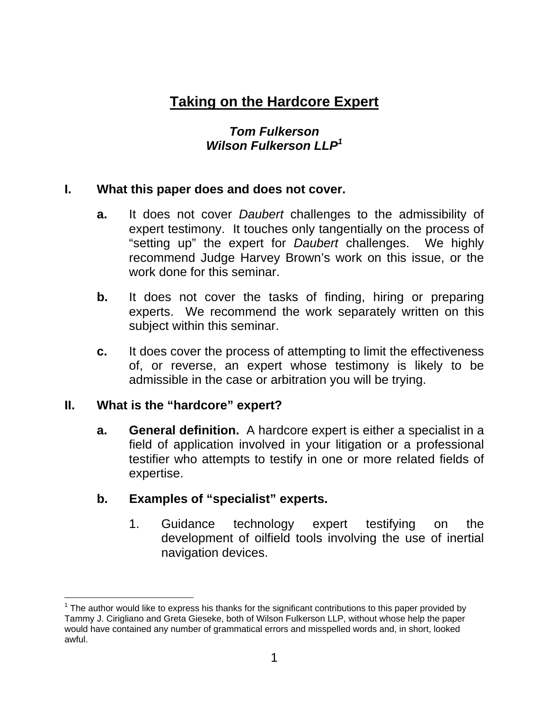# **Taking on the Hardcore Expert**

# *Tom Fulkerson Wilson Fulkerson LLP<sup>1</sup>*

# **I. What this paper does and does not cover.**

- **a.** It does not cover *Daubert* challenges to the admissibility of expert testimony. It touches only tangentially on the process of "setting up" the expert for *Daubert* challenges. We highly recommend Judge Harvey Brown's work on this issue, or the work done for this seminar.
- **b.** It does not cover the tasks of finding, hiring or preparing experts. We recommend the work separately written on this subject within this seminar.
- **c.** It does cover the process of attempting to limit the effectiveness of, or reverse, an expert whose testimony is likely to be admissible in the case or arbitration you will be trying.

# **II. What is the "hardcore" expert?**

**a. General definition.** A hardcore expert is either a specialist in a field of application involved in your litigation or a professional testifier who attempts to testify in one or more related fields of expertise.

# **b. Examples of "specialist" experts.**

1. Guidance technology expert testifying on the development of oilfield tools involving the use of inertial navigation devices.

<sup>-</sup> $1$  The author would like to express his thanks for the significant contributions to this paper provided by Tammy J. Cirigliano and Greta Gieseke, both of Wilson Fulkerson LLP, without whose help the paper would have contained any number of grammatical errors and misspelled words and, in short, looked awful.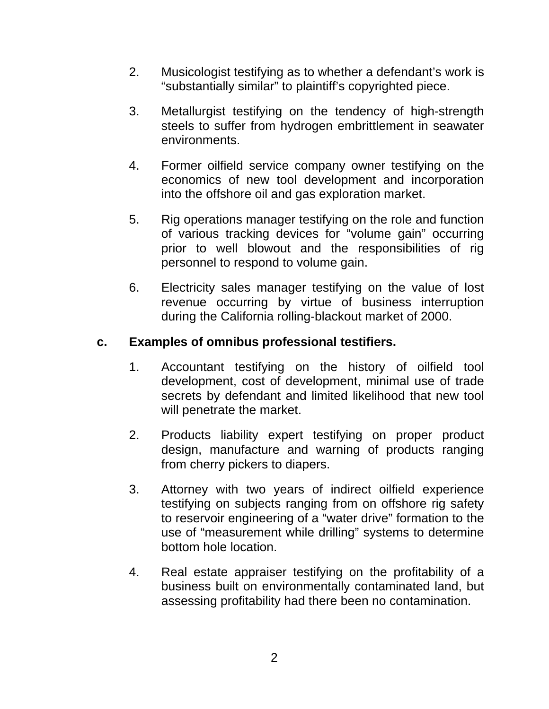- 2. Musicologist testifying as to whether a defendant's work is "substantially similar" to plaintiff's copyrighted piece.
- 3. Metallurgist testifying on the tendency of high-strength steels to suffer from hydrogen embrittlement in seawater environments.
- 4. Former oilfield service company owner testifying on the economics of new tool development and incorporation into the offshore oil and gas exploration market.
- 5. Rig operations manager testifying on the role and function of various tracking devices for "volume gain" occurring prior to well blowout and the responsibilities of rig personnel to respond to volume gain.
- 6. Electricity sales manager testifying on the value of lost revenue occurring by virtue of business interruption during the California rolling-blackout market of 2000.

# **c. Examples of omnibus professional testifiers.**

- 1. Accountant testifying on the history of oilfield tool development, cost of development, minimal use of trade secrets by defendant and limited likelihood that new tool will penetrate the market.
- 2. Products liability expert testifying on proper product design, manufacture and warning of products ranging from cherry pickers to diapers.
- 3. Attorney with two years of indirect oilfield experience testifying on subjects ranging from on offshore rig safety to reservoir engineering of a "water drive" formation to the use of "measurement while drilling" systems to determine bottom hole location.
- 4. Real estate appraiser testifying on the profitability of a business built on environmentally contaminated land, but assessing profitability had there been no contamination.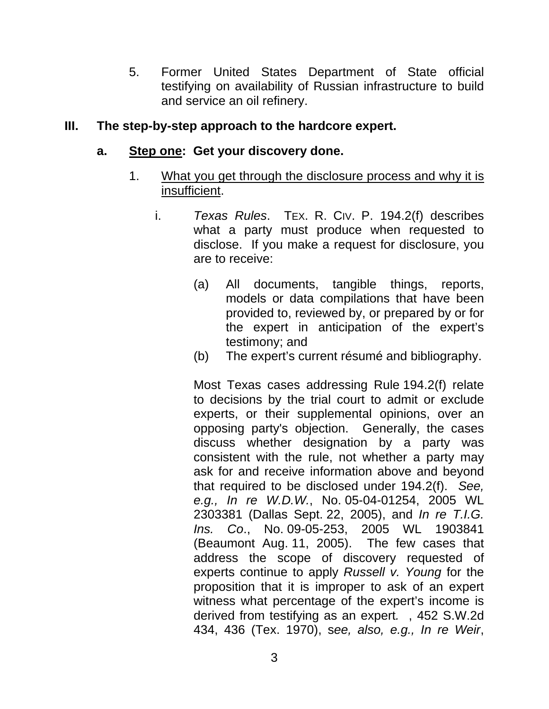5. Former United States Department of State official testifying on availability of Russian infrastructure to build and service an oil refinery.

## **III. The step-by-step approach to the hardcore expert.**

#### **a. Step one: Get your discovery done.**

- 1. What you get through the disclosure process and why it is insufficient.
	- i. *Texas Rules*. TEX. R. CIV. P. 194.2(f) describes what a party must produce when requested to disclose. If you make a request for disclosure, you are to receive:
		- (a) All documents, tangible things, reports, models or data compilations that have been provided to, reviewed by, or prepared by or for the expert in anticipation of the expert's testimony; and
		- (b) The expert's current résumé and bibliography.

Most Texas cases addressing Rule 194.2(f) relate to decisions by the trial court to admit or exclude experts, or their supplemental opinions, over an opposing party's objection. Generally, the cases discuss whether designation by a party was consistent with the rule, not whether a party may ask for and receive information above and beyond that required to be disclosed under 194.2(f). *See, e.g., In re W.D.W.*, No. 05-04-01254, 2005 WL 2303381 (Dallas Sept. 22, 2005), and *In re T.I.G. Ins. Co*., No. 09-05-253, 2005 WL 1903841 (Beaumont Aug. 11, 2005). The few cases that address the scope of discovery requested of experts continue to apply *Russell v. Young* for the proposition that it is improper to ask of an expert witness what percentage of the expert's income is derived from testifying as an expert*.* , 452 S.W.2d 434, 436 (Tex. 1970), s*ee, also, e.g., In re Weir*,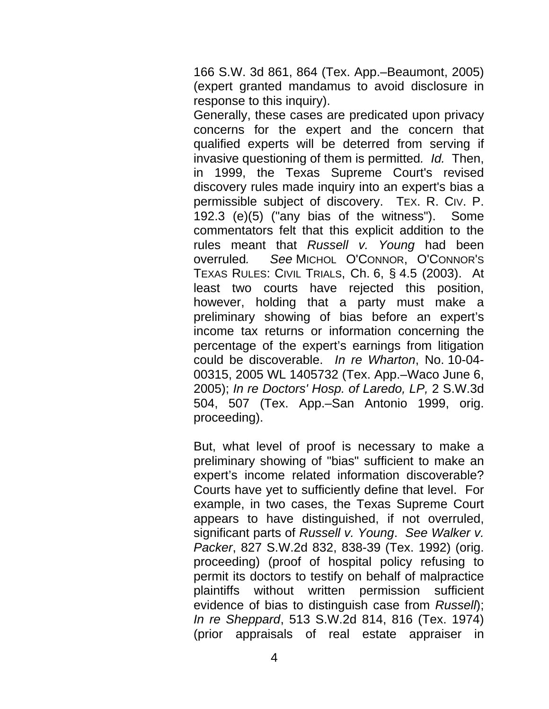166 S.W. 3d 861, 864 (Tex. App.–Beaumont, 2005) (expert granted mandamus to avoid disclosure in response to this inquiry).

Generally, these cases are predicated upon privacy concerns for the expert and the concern that qualified experts will be deterred from serving if invasive questioning of them is permitted*. Id.* Then, in 1999, the Texas Supreme Court's revised discovery rules made inquiry into an expert's bias a permissible subject of discovery. TEX. R. CIV. P. 192.3 (e)(5) ("any bias of the witness"). Some commentators felt that this explicit addition to the rules meant that *Russell v. Young* had been overruled*. See* MICHOL O'CONNOR, O'CONNOR'S TEXAS RULES: CIVIL TRIALS, Ch. 6, § 4.5 (2003). At least two courts have rejected this position, however, holding that a party must make a preliminary showing of bias before an expert's income tax returns or information concerning the percentage of the expert's earnings from litigation could be discoverable. *In re Wharton*, No. 10-04- 00315, 2005 WL 1405732 (Tex. App.–Waco June 6, 2005); *In re Doctors' Hosp. of Laredo, LP,* 2 S.W.3d 504, 507 (Tex. App.–San Antonio 1999, orig. proceeding).

But, what level of proof is necessary to make a preliminary showing of "bias" sufficient to make an expert's income related information discoverable? Courts have yet to sufficiently define that level. For example, in two cases, the Texas Supreme Court appears to have distinguished, if not overruled, significant parts of *Russell v. Young*. *See Walker v. Packer*, 827 S.W.2d 832, 838-39 (Tex. 1992) (orig. proceeding) (proof of hospital policy refusing to permit its doctors to testify on behalf of malpractice plaintiffs without written permission sufficient evidence of bias to distinguish case from *Russell*); *In re Sheppard*, 513 S.W.2d 814, 816 (Tex. 1974) (prior appraisals of real estate appraiser in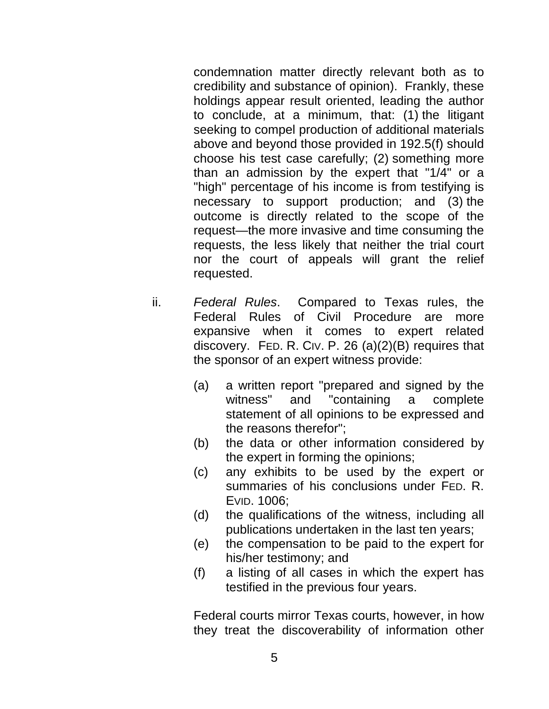condemnation matter directly relevant both as to credibility and substance of opinion). Frankly, these holdings appear result oriented, leading the author to conclude, at a minimum, that: (1) the litigant seeking to compel production of additional materials above and beyond those provided in 192.5(f) should choose his test case carefully; (2) something more than an admission by the expert that "1/4" or a "high" percentage of his income is from testifying is necessary to support production; and (3) the outcome is directly related to the scope of the request—the more invasive and time consuming the requests, the less likely that neither the trial court nor the court of appeals will grant the relief requested.

- ii. *Federal Rules*. Compared to Texas rules, the Federal Rules of Civil Procedure are more expansive when it comes to expert related discovery. FED. R. CIV. P. 26 (a)(2)(B) requires that the sponsor of an expert witness provide:
	- (a) a written report "prepared and signed by the witness" and "containing a complete statement of all opinions to be expressed and the reasons therefor";
	- (b) the data or other information considered by the expert in forming the opinions;
	- (c) any exhibits to be used by the expert or summaries of his conclusions under FED. R. EVID. 1006;
	- (d) the qualifications of the witness, including all publications undertaken in the last ten years;
	- (e) the compensation to be paid to the expert for his/her testimony; and
	- (f) a listing of all cases in which the expert has testified in the previous four years.

Federal courts mirror Texas courts, however, in how they treat the discoverability of information other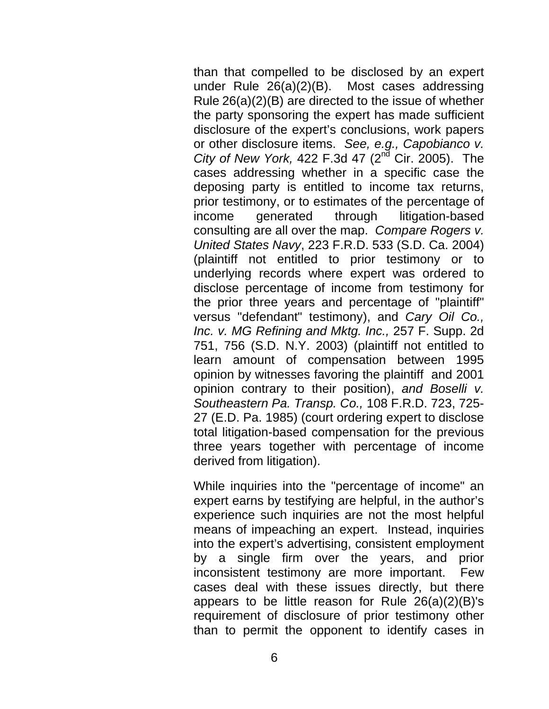than that compelled to be disclosed by an expert under Rule 26(a)(2)(B). Most cases addressing Rule 26(a)(2)(B) are directed to the issue of whether the party sponsoring the expert has made sufficient disclosure of the expert's conclusions, work papers or other disclosure items. *See, e.g., Capobianco v. City of New York,* 422 F.3d 47 (2nd Cir. 2005). The cases addressing whether in a specific case the deposing party is entitled to income tax returns, prior testimony, or to estimates of the percentage of income generated through litigation-based consulting are all over the map. *Compare Rogers v. United States Navy*, 223 F.R.D. 533 (S.D. Ca. 2004) (plaintiff not entitled to prior testimony or to underlying records where expert was ordered to disclose percentage of income from testimony for the prior three years and percentage of "plaintiff" versus "defendant" testimony), and *Cary Oil Co., Inc. v. MG Refining and Mktg. Inc.,* 257 F. Supp. 2d 751, 756 (S.D. N.Y. 2003) (plaintiff not entitled to learn amount of compensation between 1995 opinion by witnesses favoring the plaintiff and 2001 opinion contrary to their position), *and Boselli v. Southeastern Pa. Transp. Co.,* 108 F.R.D. 723, 725- 27 (E.D. Pa. 1985) (court ordering expert to disclose total litigation-based compensation for the previous three years together with percentage of income derived from litigation).

While inquiries into the "percentage of income" an expert earns by testifying are helpful, in the author's experience such inquiries are not the most helpful means of impeaching an expert. Instead, inquiries into the expert's advertising, consistent employment by a single firm over the years, and prior inconsistent testimony are more important. Few cases deal with these issues directly, but there appears to be little reason for Rule 26(a)(2)(B)'s requirement of disclosure of prior testimony other than to permit the opponent to identify cases in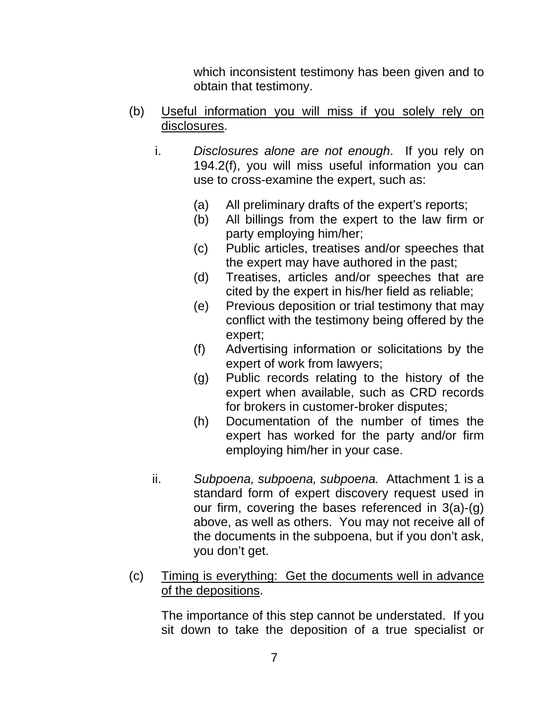which inconsistent testimony has been given and to obtain that testimony.

- (b) Useful information you will miss if you solely rely on disclosures.
	- i. *Disclosures alone are not enough*. If you rely on 194.2(f), you will miss useful information you can use to cross-examine the expert, such as:
		- (a) All preliminary drafts of the expert's reports;
		- (b) All billings from the expert to the law firm or party employing him/her;
		- (c) Public articles, treatises and/or speeches that the expert may have authored in the past;
		- (d) Treatises, articles and/or speeches that are cited by the expert in his/her field as reliable;
		- (e) Previous deposition or trial testimony that may conflict with the testimony being offered by the expert;
		- (f) Advertising information or solicitations by the expert of work from lawyers;
		- (g) Public records relating to the history of the expert when available, such as CRD records for brokers in customer-broker disputes;
		- (h) Documentation of the number of times the expert has worked for the party and/or firm employing him/her in your case.
	- ii. *Subpoena, subpoena, subpoena.* Attachment 1 is a standard form of expert discovery request used in our firm, covering the bases referenced in 3(a)-(g) above, as well as others. You may not receive all of the documents in the subpoena, but if you don't ask, you don't get.
- (c) Timing is everything: Get the documents well in advance of the depositions.

The importance of this step cannot be understated. If you sit down to take the deposition of a true specialist or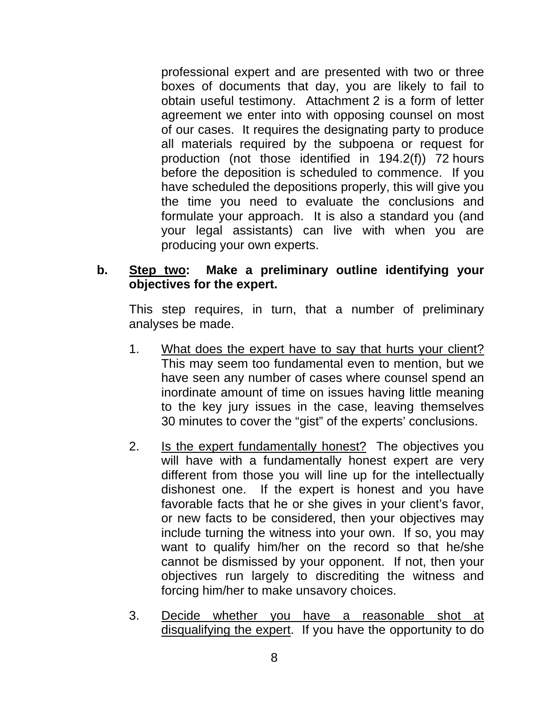professional expert and are presented with two or three boxes of documents that day, you are likely to fail to obtain useful testimony. Attachment 2 is a form of letter agreement we enter into with opposing counsel on most of our cases. It requires the designating party to produce all materials required by the subpoena or request for production (not those identified in 194.2(f)) 72 hours before the deposition is scheduled to commence. If you have scheduled the depositions properly, this will give you the time you need to evaluate the conclusions and formulate your approach. It is also a standard you (and your legal assistants) can live with when you are producing your own experts.

# **b. Step two: Make a preliminary outline identifying your objectives for the expert.**

This step requires, in turn, that a number of preliminary analyses be made.

- 1. What does the expert have to say that hurts your client? This may seem too fundamental even to mention, but we have seen any number of cases where counsel spend an inordinate amount of time on issues having little meaning to the key jury issues in the case, leaving themselves 30 minutes to cover the "gist" of the experts' conclusions.
- 2. Is the expert fundamentally honest? The objectives you will have with a fundamentally honest expert are very different from those you will line up for the intellectually dishonest one. If the expert is honest and you have favorable facts that he or she gives in your client's favor, or new facts to be considered, then your objectives may include turning the witness into your own. If so, you may want to qualify him/her on the record so that he/she cannot be dismissed by your opponent. If not, then your objectives run largely to discrediting the witness and forcing him/her to make unsavory choices.
- 3. Decide whether you have a reasonable shot at disqualifying the expert. If you have the opportunity to do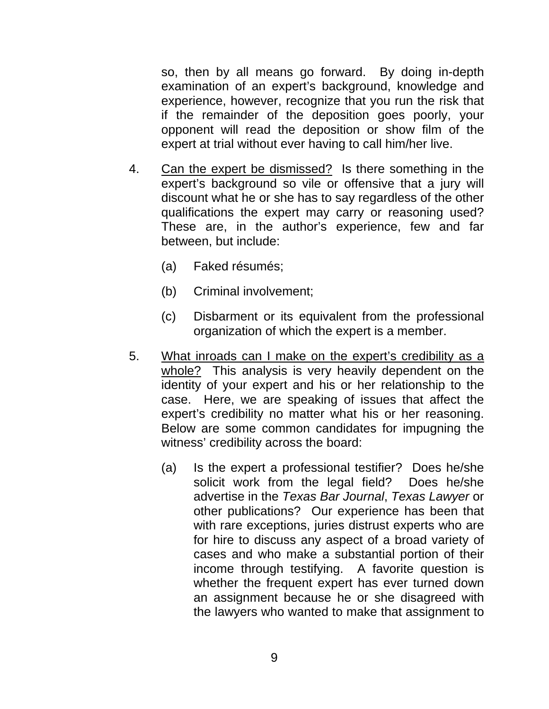so, then by all means go forward. By doing in-depth examination of an expert's background, knowledge and experience, however, recognize that you run the risk that if the remainder of the deposition goes poorly, your opponent will read the deposition or show film of the expert at trial without ever having to call him/her live.

- 4. Can the expert be dismissed? Is there something in the expert's background so vile or offensive that a jury will discount what he or she has to say regardless of the other qualifications the expert may carry or reasoning used? These are, in the author's experience, few and far between, but include:
	- (a) Faked résumés;
	- (b) Criminal involvement;
	- (c) Disbarment or its equivalent from the professional organization of which the expert is a member.
- 5. What inroads can I make on the expert's credibility as a whole? This analysis is very heavily dependent on the identity of your expert and his or her relationship to the case. Here, we are speaking of issues that affect the expert's credibility no matter what his or her reasoning. Below are some common candidates for impugning the witness' credibility across the board:
	- (a) Is the expert a professional testifier? Does he/she solicit work from the legal field? Does he/she advertise in the *Texas Bar Journal*, *Texas Lawyer* or other publications? Our experience has been that with rare exceptions, juries distrust experts who are for hire to discuss any aspect of a broad variety of cases and who make a substantial portion of their income through testifying. A favorite question is whether the frequent expert has ever turned down an assignment because he or she disagreed with the lawyers who wanted to make that assignment to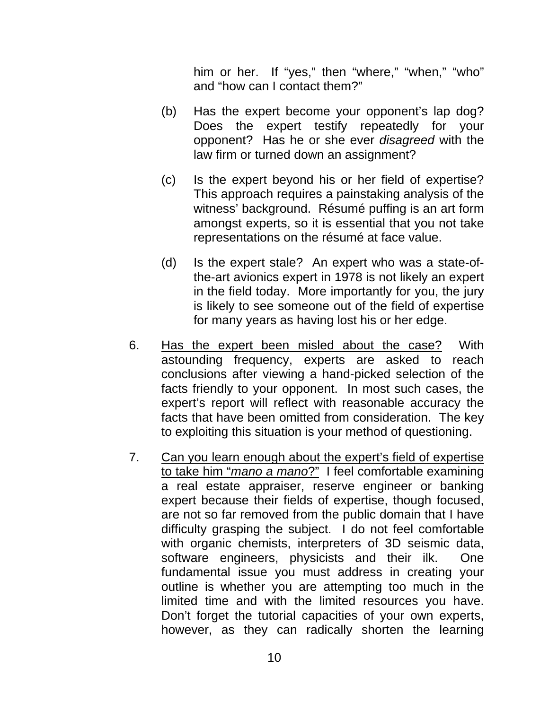him or her. If "yes," then "where," "when," "who" and "how can I contact them?"

- (b) Has the expert become your opponent's lap dog? Does the expert testify repeatedly for your opponent? Has he or she ever *disagreed* with the law firm or turned down an assignment?
- (c) Is the expert beyond his or her field of expertise? This approach requires a painstaking analysis of the witness' background. Résumé puffing is an art form amongst experts, so it is essential that you not take representations on the résumé at face value.
- (d) Is the expert stale? An expert who was a state-ofthe-art avionics expert in 1978 is not likely an expert in the field today. More importantly for you, the jury is likely to see someone out of the field of expertise for many years as having lost his or her edge.
- 6. Has the expert been misled about the case? With astounding frequency, experts are asked to reach conclusions after viewing a hand-picked selection of the facts friendly to your opponent. In most such cases, the expert's report will reflect with reasonable accuracy the facts that have been omitted from consideration. The key to exploiting this situation is your method of questioning.
- 7. Can you learn enough about the expert's field of expertise to take him "*mano a mano*?" I feel comfortable examining a real estate appraiser, reserve engineer or banking expert because their fields of expertise, though focused, are not so far removed from the public domain that I have difficulty grasping the subject. I do not feel comfortable with organic chemists, interpreters of 3D seismic data, software engineers, physicists and their ilk. One fundamental issue you must address in creating your outline is whether you are attempting too much in the limited time and with the limited resources you have. Don't forget the tutorial capacities of your own experts, however, as they can radically shorten the learning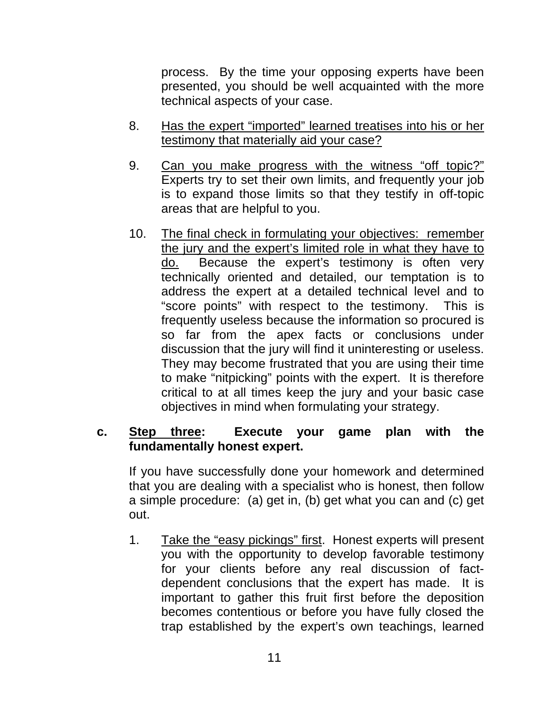process. By the time your opposing experts have been presented, you should be well acquainted with the more technical aspects of your case.

- 8. Has the expert "imported" learned treatises into his or her testimony that materially aid your case?
- 9. Can you make progress with the witness "off topic?" Experts try to set their own limits, and frequently your job is to expand those limits so that they testify in off-topic areas that are helpful to you.
- 10. The final check in formulating your objectives: remember the jury and the expert's limited role in what they have to do. Because the expert's testimony is often very technically oriented and detailed, our temptation is to address the expert at a detailed technical level and to "score points" with respect to the testimony. This is frequently useless because the information so procured is so far from the apex facts or conclusions under discussion that the jury will find it uninteresting or useless. They may become frustrated that you are using their time to make "nitpicking" points with the expert. It is therefore critical to at all times keep the jury and your basic case objectives in mind when formulating your strategy.

#### **c. Step three: Execute your game plan with the fundamentally honest expert.**

If you have successfully done your homework and determined that you are dealing with a specialist who is honest, then follow a simple procedure: (a) get in, (b) get what you can and (c) get out.

1. Take the "easy pickings" first. Honest experts will present you with the opportunity to develop favorable testimony for your clients before any real discussion of factdependent conclusions that the expert has made. It is important to gather this fruit first before the deposition becomes contentious or before you have fully closed the trap established by the expert's own teachings, learned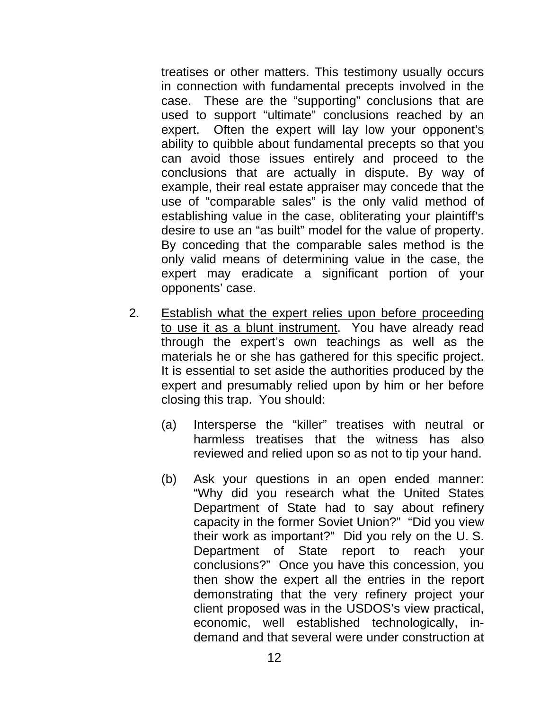treatises or other matters. This testimony usually occurs in connection with fundamental precepts involved in the case. These are the "supporting" conclusions that are used to support "ultimate" conclusions reached by an expert. Often the expert will lay low your opponent's ability to quibble about fundamental precepts so that you can avoid those issues entirely and proceed to the conclusions that are actually in dispute. By way of example, their real estate appraiser may concede that the use of "comparable sales" is the only valid method of establishing value in the case, obliterating your plaintiff's desire to use an "as built" model for the value of property. By conceding that the comparable sales method is the only valid means of determining value in the case, the expert may eradicate a significant portion of your opponents' case.

- 2. Establish what the expert relies upon before proceeding to use it as a blunt instrument. You have already read through the expert's own teachings as well as the materials he or she has gathered for this specific project. It is essential to set aside the authorities produced by the expert and presumably relied upon by him or her before closing this trap. You should:
	- (a) Intersperse the "killer" treatises with neutral or harmless treatises that the witness has also reviewed and relied upon so as not to tip your hand.
	- (b) Ask your questions in an open ended manner: "Why did you research what the United States Department of State had to say about refinery capacity in the former Soviet Union?" "Did you view their work as important?" Did you rely on the U. S. Department of State report to reach your conclusions?" Once you have this concession, you then show the expert all the entries in the report demonstrating that the very refinery project your client proposed was in the USDOS's view practical, economic, well established technologically, indemand and that several were under construction at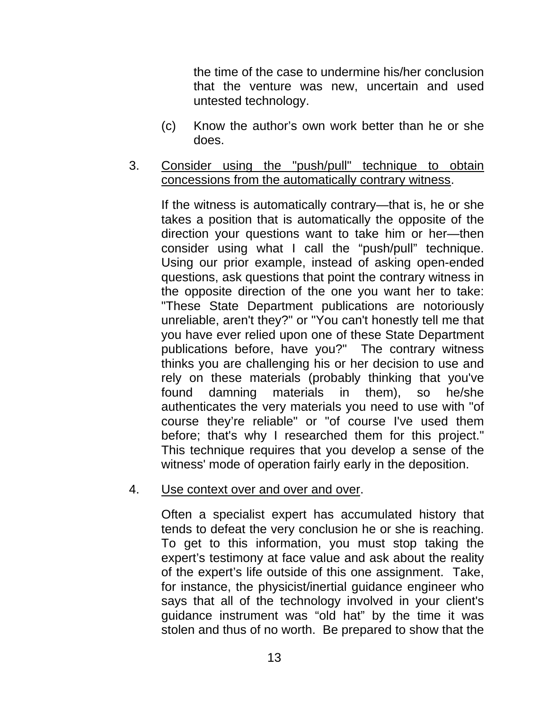the time of the case to undermine his/her conclusion that the venture was new, uncertain and used untested technology.

- (c) Know the author's own work better than he or she does.
- 3. Consider using the "push/pull" technique to obtain concessions from the automatically contrary witness.

If the witness is automatically contrary—that is, he or she takes a position that is automatically the opposite of the direction your questions want to take him or her—then consider using what I call the "push/pull" technique. Using our prior example, instead of asking open-ended questions, ask questions that point the contrary witness in the opposite direction of the one you want her to take: "These State Department publications are notoriously unreliable, aren't they?" or "You can't honestly tell me that you have ever relied upon one of these State Department publications before, have you?" The contrary witness thinks you are challenging his or her decision to use and rely on these materials (probably thinking that you've found damning materials in them), so he/she authenticates the very materials you need to use with "of course they're reliable" or "of course I've used them before; that's why I researched them for this project." This technique requires that you develop a sense of the witness' mode of operation fairly early in the deposition.

#### 4. Use context over and over and over.

Often a specialist expert has accumulated history that tends to defeat the very conclusion he or she is reaching. To get to this information, you must stop taking the expert's testimony at face value and ask about the reality of the expert's life outside of this one assignment. Take, for instance, the physicist/inertial guidance engineer who says that all of the technology involved in your client's guidance instrument was "old hat" by the time it was stolen and thus of no worth. Be prepared to show that the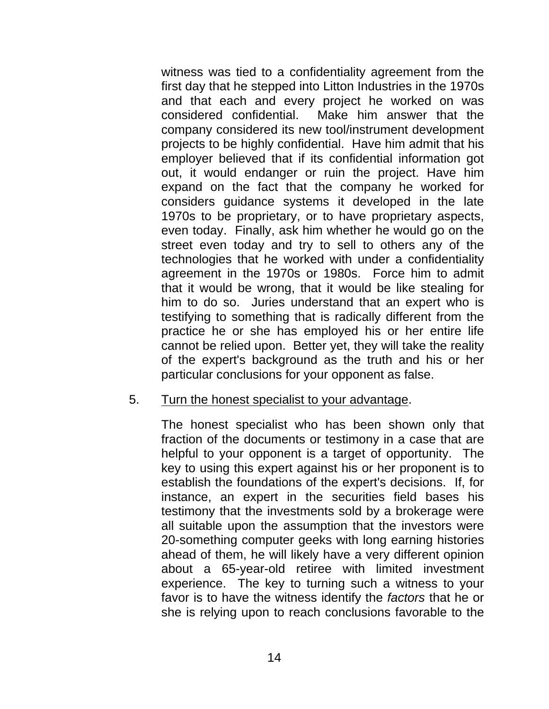witness was tied to a confidentiality agreement from the first day that he stepped into Litton Industries in the 1970s and that each and every project he worked on was considered confidential. Make him answer that the company considered its new tool/instrument development projects to be highly confidential. Have him admit that his employer believed that if its confidential information got out, it would endanger or ruin the project. Have him expand on the fact that the company he worked for considers guidance systems it developed in the late 1970s to be proprietary, or to have proprietary aspects, even today. Finally, ask him whether he would go on the street even today and try to sell to others any of the technologies that he worked with under a confidentiality agreement in the 1970s or 1980s. Force him to admit that it would be wrong, that it would be like stealing for him to do so. Juries understand that an expert who is testifying to something that is radically different from the practice he or she has employed his or her entire life cannot be relied upon. Better yet, they will take the reality of the expert's background as the truth and his or her particular conclusions for your opponent as false.

#### 5. Turn the honest specialist to your advantage.

The honest specialist who has been shown only that fraction of the documents or testimony in a case that are helpful to your opponent is a target of opportunity. The key to using this expert against his or her proponent is to establish the foundations of the expert's decisions. If, for instance, an expert in the securities field bases his testimony that the investments sold by a brokerage were all suitable upon the assumption that the investors were 20-something computer geeks with long earning histories ahead of them, he will likely have a very different opinion about a 65-year-old retiree with limited investment experience. The key to turning such a witness to your favor is to have the witness identify the *factors* that he or she is relying upon to reach conclusions favorable to the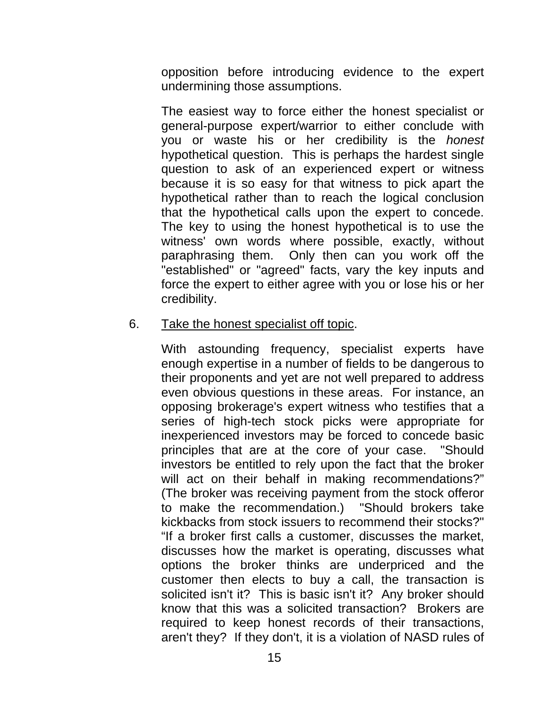opposition before introducing evidence to the expert undermining those assumptions.

The easiest way to force either the honest specialist or general-purpose expert/warrior to either conclude with you or waste his or her credibility is the *honest* hypothetical question. This is perhaps the hardest single question to ask of an experienced expert or witness because it is so easy for that witness to pick apart the hypothetical rather than to reach the logical conclusion that the hypothetical calls upon the expert to concede. The key to using the honest hypothetical is to use the witness' own words where possible, exactly, without paraphrasing them. Only then can you work off the "established" or "agreed" facts, vary the key inputs and force the expert to either agree with you or lose his or her credibility.

#### 6. Take the honest specialist off topic.

With astounding frequency, specialist experts have enough expertise in a number of fields to be dangerous to their proponents and yet are not well prepared to address even obvious questions in these areas. For instance, an opposing brokerage's expert witness who testifies that a series of high-tech stock picks were appropriate for inexperienced investors may be forced to concede basic principles that are at the core of your case. "Should investors be entitled to rely upon the fact that the broker will act on their behalf in making recommendations?" (The broker was receiving payment from the stock offeror to make the recommendation.) "Should brokers take kickbacks from stock issuers to recommend their stocks?" "If a broker first calls a customer, discusses the market, discusses how the market is operating, discusses what options the broker thinks are underpriced and the customer then elects to buy a call, the transaction is solicited isn't it? This is basic isn't it? Any broker should know that this was a solicited transaction? Brokers are required to keep honest records of their transactions, aren't they? If they don't, it is a violation of NASD rules of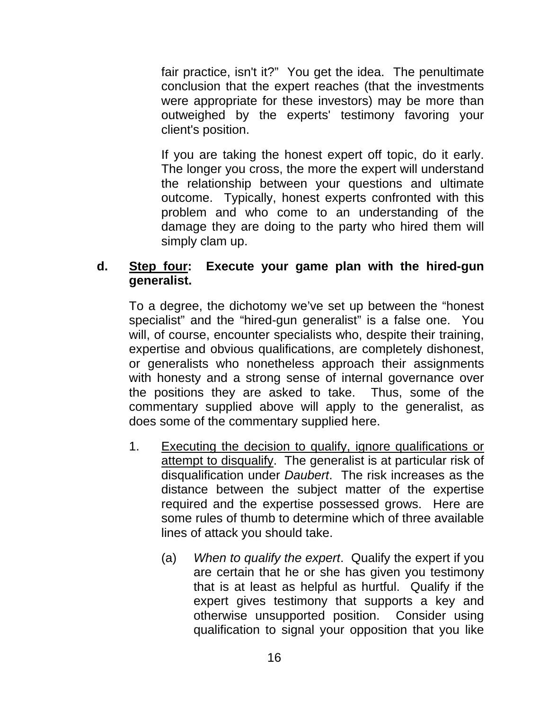fair practice, isn't it?" You get the idea. The penultimate conclusion that the expert reaches (that the investments were appropriate for these investors) may be more than outweighed by the experts' testimony favoring your client's position.

If you are taking the honest expert off topic, do it early. The longer you cross, the more the expert will understand the relationship between your questions and ultimate outcome. Typically, honest experts confronted with this problem and who come to an understanding of the damage they are doing to the party who hired them will simply clam up.

## **d. Step four: Execute your game plan with the hired-gun generalist.**

To a degree, the dichotomy we've set up between the "honest specialist" and the "hired-gun generalist" is a false one. You will, of course, encounter specialists who, despite their training, expertise and obvious qualifications, are completely dishonest, or generalists who nonetheless approach their assignments with honesty and a strong sense of internal governance over the positions they are asked to take. Thus, some of the commentary supplied above will apply to the generalist, as does some of the commentary supplied here.

- 1. Executing the decision to qualify, ignore qualifications or attempt to disqualify. The generalist is at particular risk of disqualification under *Daubert*. The risk increases as the distance between the subject matter of the expertise required and the expertise possessed grows. Here are some rules of thumb to determine which of three available lines of attack you should take.
	- (a) *When to qualify the expert*. Qualify the expert if you are certain that he or she has given you testimony that is at least as helpful as hurtful. Qualify if the expert gives testimony that supports a key and otherwise unsupported position. Consider using qualification to signal your opposition that you like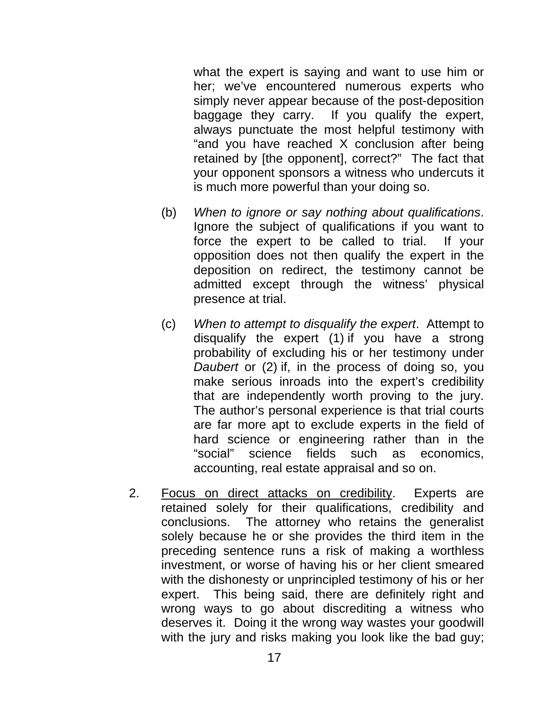what the expert is saying and want to use him or her; we've encountered numerous experts who simply never appear because of the post-deposition baggage they carry. If you qualify the expert, always punctuate the most helpful testimony with "and you have reached X conclusion after being retained by [the opponent], correct?" The fact that your opponent sponsors a witness who undercuts it is much more powerful than your doing so.

- (b) *When to ignore or say nothing about qualifications*. Ignore the subject of qualifications if you want to force the expert to be called to trial. If your opposition does not then qualify the expert in the deposition on redirect, the testimony cannot be admitted except through the witness' physical presence at trial.
- (c) *When to attempt to disqualify the expert*. Attempt to disqualify the expert (1) if you have a strong probability of excluding his or her testimony under *Daubert* or (2) if, in the process of doing so, you make serious inroads into the expert's credibility that are independently worth proving to the jury. The author's personal experience is that trial courts are far more apt to exclude experts in the field of hard science or engineering rather than in the "social" science fields such as economics, accounting, real estate appraisal and so on.
- 2. Focus on direct attacks on credibility. Experts are retained solely for their qualifications, credibility and conclusions. The attorney who retains the generalist solely because he or she provides the third item in the preceding sentence runs a risk of making a worthless investment, or worse of having his or her client smeared with the dishonesty or unprincipled testimony of his or her expert. This being said, there are definitely right and wrong ways to go about discrediting a witness who deserves it. Doing it the wrong way wastes your goodwill with the jury and risks making you look like the bad guy;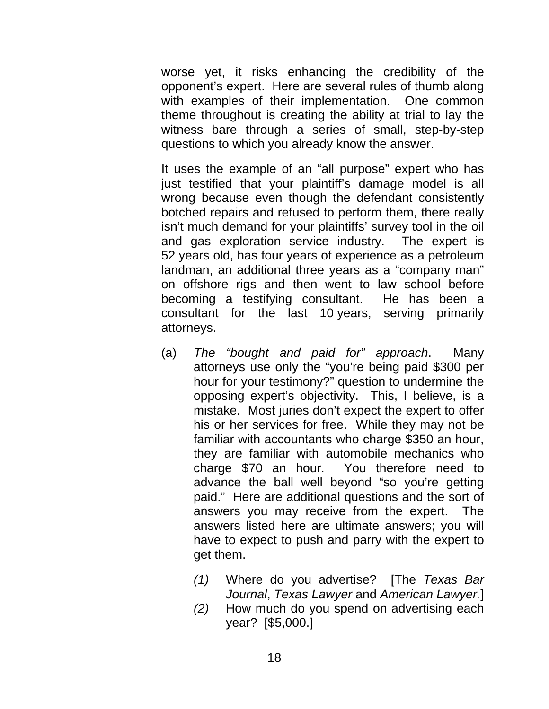worse yet, it risks enhancing the credibility of the opponent's expert. Here are several rules of thumb along with examples of their implementation. One common theme throughout is creating the ability at trial to lay the witness bare through a series of small, step-by-step questions to which you already know the answer.

It uses the example of an "all purpose" expert who has just testified that your plaintiff's damage model is all wrong because even though the defendant consistently botched repairs and refused to perform them, there really isn't much demand for your plaintiffs' survey tool in the oil and gas exploration service industry. The expert is 52 years old, has four years of experience as a petroleum landman, an additional three years as a "company man" on offshore rigs and then went to law school before becoming a testifying consultant. He has been a consultant for the last 10 years, serving primarily attorneys.

- (a) *The "bought and paid for" approach*. Many attorneys use only the "you're being paid \$300 per hour for your testimony?" question to undermine the opposing expert's objectivity. This, I believe, is a mistake. Most juries don't expect the expert to offer his or her services for free. While they may not be familiar with accountants who charge \$350 an hour, they are familiar with automobile mechanics who charge \$70 an hour. You therefore need to advance the ball well beyond "so you're getting paid." Here are additional questions and the sort of answers you may receive from the expert. The answers listed here are ultimate answers; you will have to expect to push and parry with the expert to get them.
	- *(1)* Where do you advertise? [The *Texas Bar Journal*, *Texas Lawyer* and *American Lawyer.*]
	- *(2)* How much do you spend on advertising each year? [\$5,000.]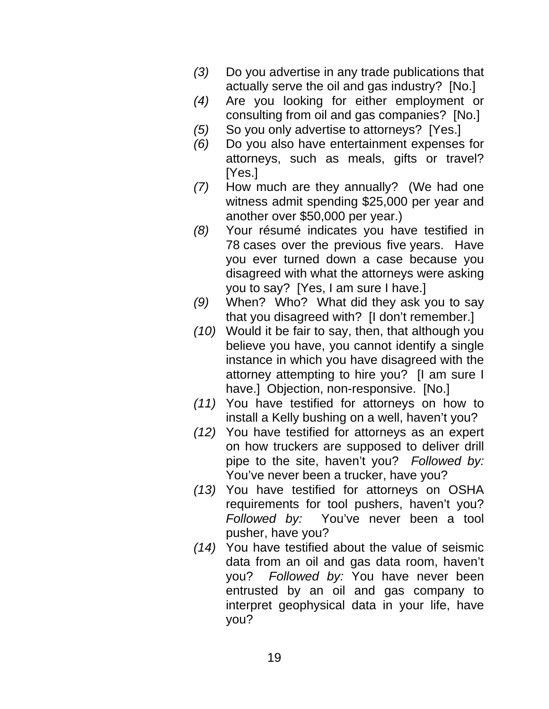- *(3)* Do you advertise in any trade publications that actually serve the oil and gas industry? [No.]
- *(4)* Are you looking for either employment or consulting from oil and gas companies? [No.]
- *(5)* So you only advertise to attorneys? [Yes.]
- *(6)* Do you also have entertainment expenses for attorneys, such as meals, gifts or travel? [Yes.]
- *(7)* How much are they annually? (We had one witness admit spending \$25,000 per year and another over \$50,000 per year.)
- *(8)* Your résumé indicates you have testified in 78 cases over the previous five years. Have you ever turned down a case because you disagreed with what the attorneys were asking you to say? [Yes, I am sure I have.]
- *(9)* When? Who? What did they ask you to say that you disagreed with? [I don't remember.]
- *(10)* Would it be fair to say, then, that although you believe you have, you cannot identify a single instance in which you have disagreed with the attorney attempting to hire you? [I am sure I have.] Objection, non-responsive. [No.]
- *(11)* You have testified for attorneys on how to install a Kelly bushing on a well, haven't you?
- *(12)* You have testified for attorneys as an expert on how truckers are supposed to deliver drill pipe to the site, haven't you? *Followed by:* You've never been a trucker, have you?
- *(13)* You have testified for attorneys on OSHA requirements for tool pushers, haven't you? *Followed by:* You've never been a tool pusher, have you?
- *(14)* You have testified about the value of seismic data from an oil and gas data room, haven't you? *Followed by:* You have never been entrusted by an oil and gas company to interpret geophysical data in your life, have you?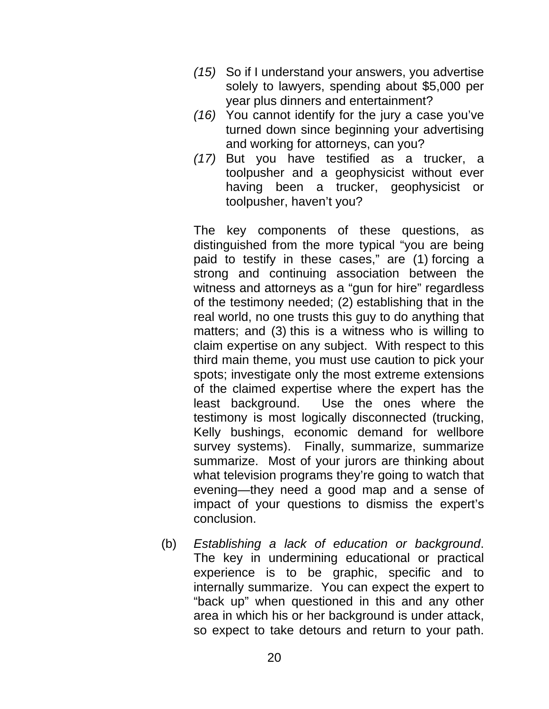- *(15)* So if I understand your answers, you advertise solely to lawyers, spending about \$5,000 per year plus dinners and entertainment?
- *(16)* You cannot identify for the jury a case you've turned down since beginning your advertising and working for attorneys, can you?
- *(17)* But you have testified as a trucker, a toolpusher and a geophysicist without ever having been a trucker, geophysicist or toolpusher, haven't you?

The key components of these questions, as distinguished from the more typical "you are being paid to testify in these cases," are (1) forcing a strong and continuing association between the witness and attorneys as a "gun for hire" regardless of the testimony needed; (2) establishing that in the real world, no one trusts this guy to do anything that matters; and (3) this is a witness who is willing to claim expertise on any subject. With respect to this third main theme, you must use caution to pick your spots; investigate only the most extreme extensions of the claimed expertise where the expert has the least background. Use the ones where the testimony is most logically disconnected (trucking, Kelly bushings, economic demand for wellbore survey systems). Finally, summarize, summarize summarize. Most of your jurors are thinking about what television programs they're going to watch that evening—they need a good map and a sense of impact of your questions to dismiss the expert's conclusion.

(b) *Establishing a lack of education or background*. The key in undermining educational or practical experience is to be graphic, specific and to internally summarize. You can expect the expert to "back up" when questioned in this and any other area in which his or her background is under attack, so expect to take detours and return to your path.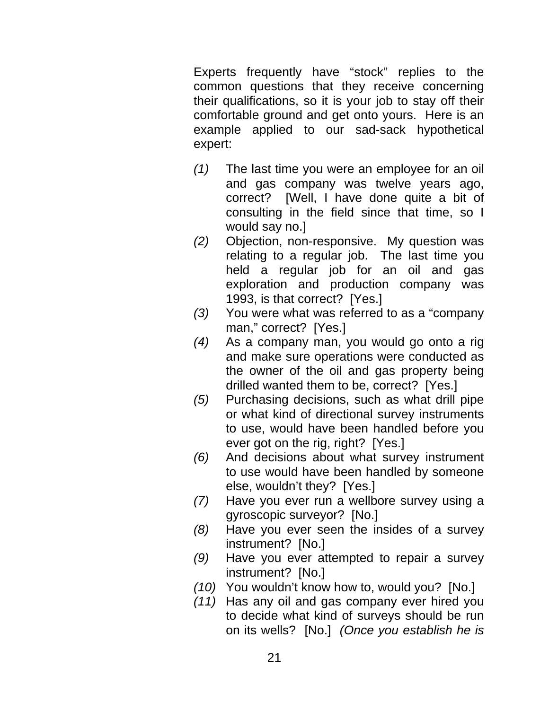Experts frequently have "stock" replies to the common questions that they receive concerning their qualifications, so it is your job to stay off their comfortable ground and get onto yours. Here is an example applied to our sad-sack hypothetical expert:

- *(1)* The last time you were an employee for an oil and gas company was twelve years ago, correct? [Well, I have done quite a bit of consulting in the field since that time, so I would say no.]
- *(2)* Objection, non-responsive. My question was relating to a regular job. The last time you held a regular job for an oil and gas exploration and production company was 1993, is that correct? [Yes.]
- *(3)* You were what was referred to as a "company man," correct? [Yes.]
- *(4)* As a company man, you would go onto a rig and make sure operations were conducted as the owner of the oil and gas property being drilled wanted them to be, correct? [Yes.]
- *(5)* Purchasing decisions, such as what drill pipe or what kind of directional survey instruments to use, would have been handled before you ever got on the rig, right? [Yes.]
- *(6)* And decisions about what survey instrument to use would have been handled by someone else, wouldn't they? [Yes.]
- *(7)* Have you ever run a wellbore survey using a gyroscopic surveyor? [No.]
- *(8)* Have you ever seen the insides of a survey instrument? [No.]
- *(9)* Have you ever attempted to repair a survey instrument? [No.]
- *(10)* You wouldn't know how to, would you? [No.]
- *(11)* Has any oil and gas company ever hired you to decide what kind of surveys should be run on its wells? [No.] *(Once you establish he is*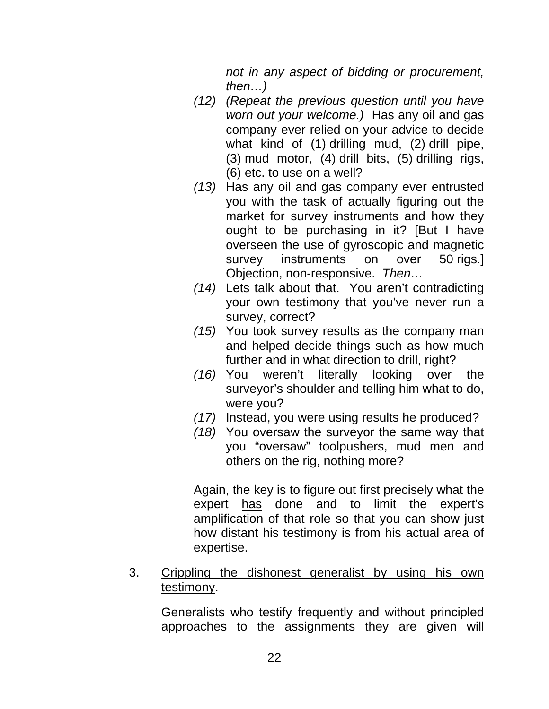*not in any aspect of bidding or procurement, then…)*

- *(12) (Repeat the previous question until you have worn out your welcome.)* Has any oil and gas company ever relied on your advice to decide what kind of (1) drilling mud, (2) drill pipe, (3) mud motor, (4) drill bits, (5) drilling rigs, (6) etc. to use on a well?
- *(13)* Has any oil and gas company ever entrusted you with the task of actually figuring out the market for survey instruments and how they ought to be purchasing in it? [But I have overseen the use of gyroscopic and magnetic survey instruments on over 50 rigs.] Objection, non-responsive. *Then…*
- *(14)* Lets talk about that. You aren't contradicting your own testimony that you've never run a survey, correct?
- *(15)* You took survey results as the company man and helped decide things such as how much further and in what direction to drill, right?
- *(16)* You weren't literally looking over the surveyor's shoulder and telling him what to do, were you?
- *(17)* Instead, you were using results he produced?
- *(18)* You oversaw the surveyor the same way that you "oversaw" toolpushers, mud men and others on the rig, nothing more?

Again, the key is to figure out first precisely what the expert has done and to limit the expert's amplification of that role so that you can show just how distant his testimony is from his actual area of expertise.

# 3. Crippling the dishonest generalist by using his own testimony.

Generalists who testify frequently and without principled approaches to the assignments they are given will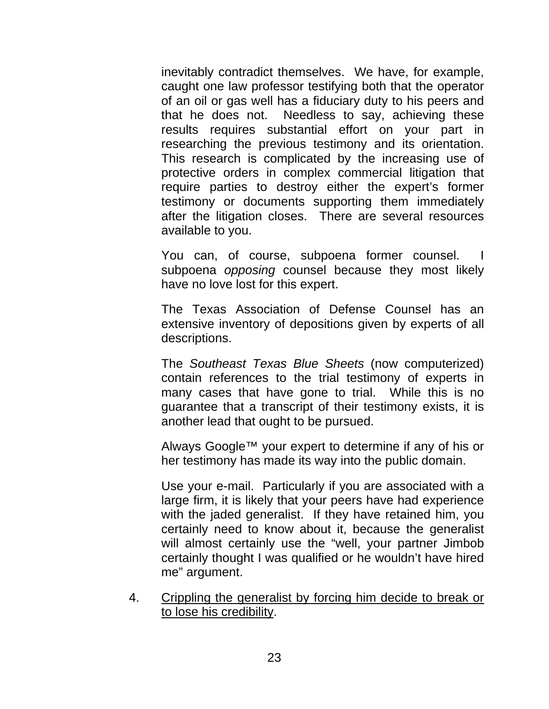inevitably contradict themselves. We have, for example, caught one law professor testifying both that the operator of an oil or gas well has a fiduciary duty to his peers and that he does not. Needless to say, achieving these results requires substantial effort on your part in researching the previous testimony and its orientation. This research is complicated by the increasing use of protective orders in complex commercial litigation that require parties to destroy either the expert's former testimony or documents supporting them immediately after the litigation closes. There are several resources available to you.

You can, of course, subpoena former counsel. I subpoena *opposing* counsel because they most likely have no love lost for this expert.

The Texas Association of Defense Counsel has an extensive inventory of depositions given by experts of all descriptions.

The *Southeast Texas Blue Sheets* (now computerized) contain references to the trial testimony of experts in many cases that have gone to trial. While this is no guarantee that a transcript of their testimony exists, it is another lead that ought to be pursued.

Always Google™ your expert to determine if any of his or her testimony has made its way into the public domain.

Use your e-mail. Particularly if you are associated with a large firm, it is likely that your peers have had experience with the jaded generalist. If they have retained him, you certainly need to know about it, because the generalist will almost certainly use the "well, your partner Jimbob certainly thought I was qualified or he wouldn't have hired me" argument.

4. Crippling the generalist by forcing him decide to break or to lose his credibility.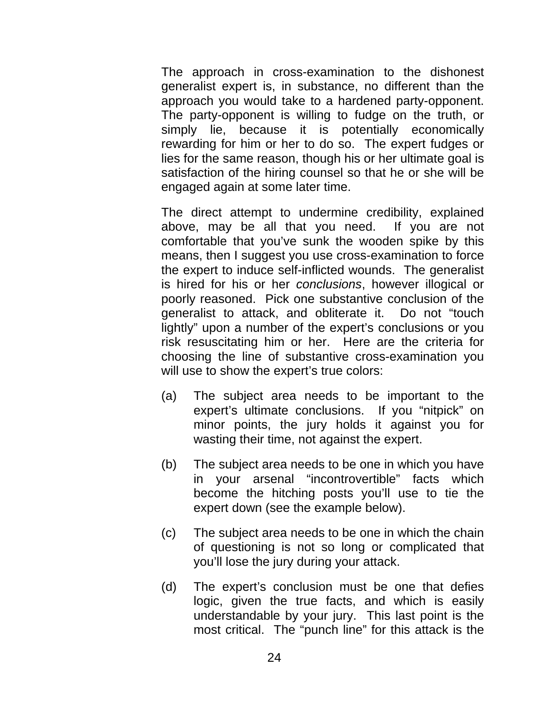The approach in cross-examination to the dishonest generalist expert is, in substance, no different than the approach you would take to a hardened party-opponent. The party-opponent is willing to fudge on the truth, or simply lie, because it is potentially economically rewarding for him or her to do so. The expert fudges or lies for the same reason, though his or her ultimate goal is satisfaction of the hiring counsel so that he or she will be engaged again at some later time.

The direct attempt to undermine credibility, explained above, may be all that you need. If you are not comfortable that you've sunk the wooden spike by this means, then I suggest you use cross-examination to force the expert to induce self-inflicted wounds. The generalist is hired for his or her *conclusions*, however illogical or poorly reasoned. Pick one substantive conclusion of the generalist to attack, and obliterate it. Do not "touch lightly" upon a number of the expert's conclusions or you risk resuscitating him or her. Here are the criteria for choosing the line of substantive cross-examination you will use to show the expert's true colors:

- (a) The subject area needs to be important to the expert's ultimate conclusions. If you "nitpick" on minor points, the jury holds it against you for wasting their time, not against the expert.
- (b) The subject area needs to be one in which you have in your arsenal "incontrovertible" facts which become the hitching posts you'll use to tie the expert down (see the example below).
- (c) The subject area needs to be one in which the chain of questioning is not so long or complicated that you'll lose the jury during your attack.
- (d) The expert's conclusion must be one that defies logic, given the true facts, and which is easily understandable by your jury. This last point is the most critical. The "punch line" for this attack is the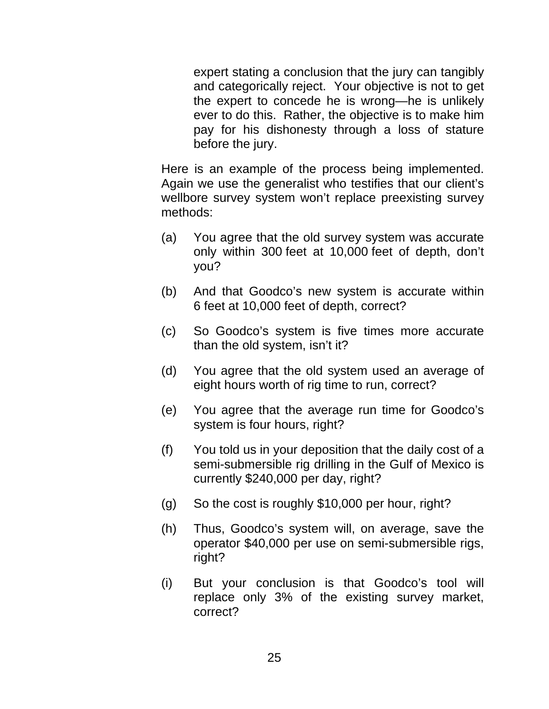expert stating a conclusion that the jury can tangibly and categorically reject. Your objective is not to get the expert to concede he is wrong—he is unlikely ever to do this. Rather, the objective is to make him pay for his dishonesty through a loss of stature before the jury.

Here is an example of the process being implemented. Again we use the generalist who testifies that our client's wellbore survey system won't replace preexisting survey methods:

- (a) You agree that the old survey system was accurate only within 300 feet at 10,000 feet of depth, don't you?
- (b) And that Goodco's new system is accurate within 6 feet at 10,000 feet of depth, correct?
- (c) So Goodco's system is five times more accurate than the old system, isn't it?
- (d) You agree that the old system used an average of eight hours worth of rig time to run, correct?
- (e) You agree that the average run time for Goodco's system is four hours, right?
- (f) You told us in your deposition that the daily cost of a semi-submersible rig drilling in the Gulf of Mexico is currently \$240,000 per day, right?
- (g) So the cost is roughly \$10,000 per hour, right?
- (h) Thus, Goodco's system will, on average, save the operator \$40,000 per use on semi-submersible rigs, right?
- (i) But your conclusion is that Goodco's tool will replace only 3% of the existing survey market, correct?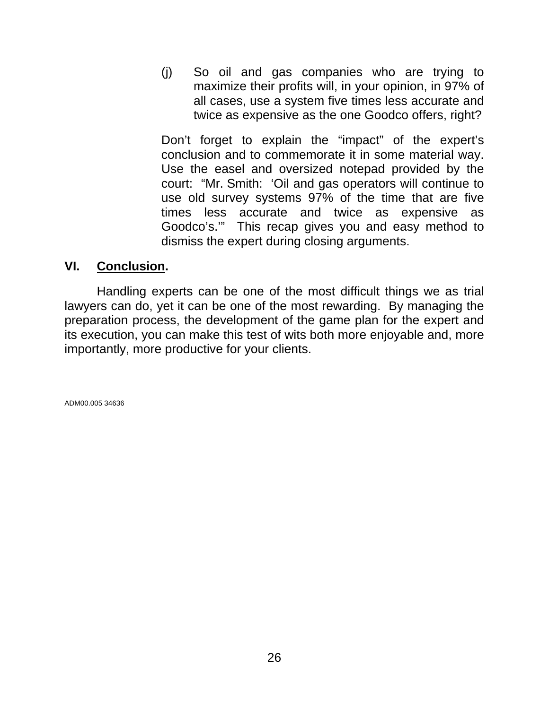(j) So oil and gas companies who are trying to maximize their profits will, in your opinion, in 97% of all cases, use a system five times less accurate and twice as expensive as the one Goodco offers, right?

Don't forget to explain the "impact" of the expert's conclusion and to commemorate it in some material way. Use the easel and oversized notepad provided by the court: "Mr. Smith: 'Oil and gas operators will continue to use old survey systems 97% of the time that are five times less accurate and twice as expensive as Goodco's.'" This recap gives you and easy method to dismiss the expert during closing arguments.

# **VI. Conclusion.**

 Handling experts can be one of the most difficult things we as trial lawyers can do, yet it can be one of the most rewarding. By managing the preparation process, the development of the game plan for the expert and its execution, you can make this test of wits both more enjoyable and, more importantly, more productive for your clients.

ADM00.005 34636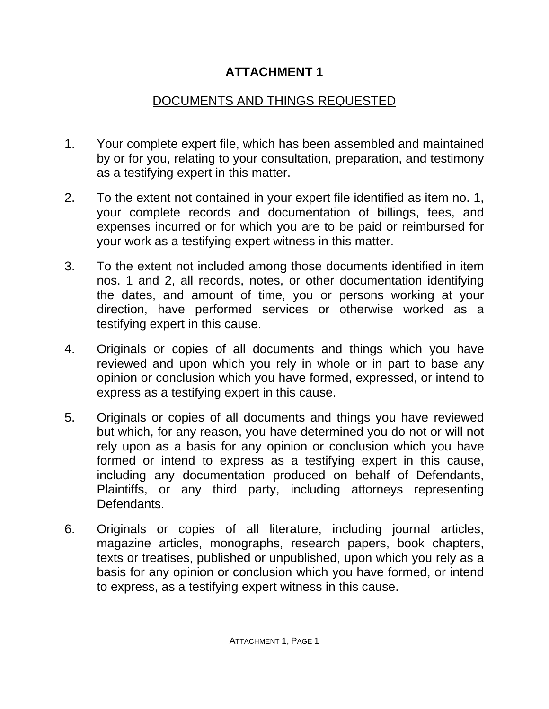# **ATTACHMENT 1**

# DOCUMENTS AND THINGS REQUESTED

- 1. Your complete expert file, which has been assembled and maintained by or for you, relating to your consultation, preparation, and testimony as a testifying expert in this matter.
- 2. To the extent not contained in your expert file identified as item no. 1, your complete records and documentation of billings, fees, and expenses incurred or for which you are to be paid or reimbursed for your work as a testifying expert witness in this matter.
- 3. To the extent not included among those documents identified in item nos. 1 and 2, all records, notes, or other documentation identifying the dates, and amount of time, you or persons working at your direction, have performed services or otherwise worked as a testifying expert in this cause.
- 4. Originals or copies of all documents and things which you have reviewed and upon which you rely in whole or in part to base any opinion or conclusion which you have formed, expressed, or intend to express as a testifying expert in this cause.
- 5. Originals or copies of all documents and things you have reviewed but which, for any reason, you have determined you do not or will not rely upon as a basis for any opinion or conclusion which you have formed or intend to express as a testifying expert in this cause, including any documentation produced on behalf of Defendants, Plaintiffs, or any third party, including attorneys representing **Defendants**
- 6. Originals or copies of all literature, including journal articles, magazine articles, monographs, research papers, book chapters, texts or treatises, published or unpublished, upon which you rely as a basis for any opinion or conclusion which you have formed, or intend to express, as a testifying expert witness in this cause.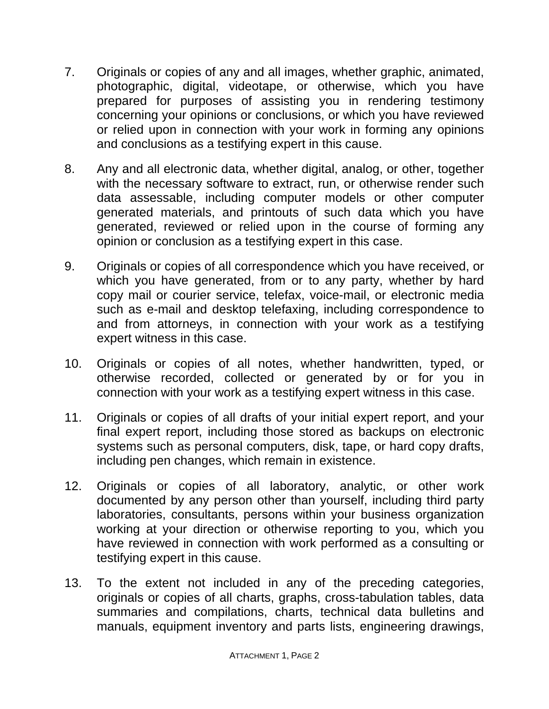- 7. Originals or copies of any and all images, whether graphic, animated, photographic, digital, videotape, or otherwise, which you have prepared for purposes of assisting you in rendering testimony concerning your opinions or conclusions, or which you have reviewed or relied upon in connection with your work in forming any opinions and conclusions as a testifying expert in this cause.
- 8. Any and all electronic data, whether digital, analog, or other, together with the necessary software to extract, run, or otherwise render such data assessable, including computer models or other computer generated materials, and printouts of such data which you have generated, reviewed or relied upon in the course of forming any opinion or conclusion as a testifying expert in this case.
- 9. Originals or copies of all correspondence which you have received, or which you have generated, from or to any party, whether by hard copy mail or courier service, telefax, voice-mail, or electronic media such as e-mail and desktop telefaxing, including correspondence to and from attorneys, in connection with your work as a testifying expert witness in this case.
- 10. Originals or copies of all notes, whether handwritten, typed, or otherwise recorded, collected or generated by or for you in connection with your work as a testifying expert witness in this case.
- 11. Originals or copies of all drafts of your initial expert report, and your final expert report, including those stored as backups on electronic systems such as personal computers, disk, tape, or hard copy drafts, including pen changes, which remain in existence.
- 12. Originals or copies of all laboratory, analytic, or other work documented by any person other than yourself, including third party laboratories, consultants, persons within your business organization working at your direction or otherwise reporting to you, which you have reviewed in connection with work performed as a consulting or testifying expert in this cause.
- 13. To the extent not included in any of the preceding categories, originals or copies of all charts, graphs, cross-tabulation tables, data summaries and compilations, charts, technical data bulletins and manuals, equipment inventory and parts lists, engineering drawings,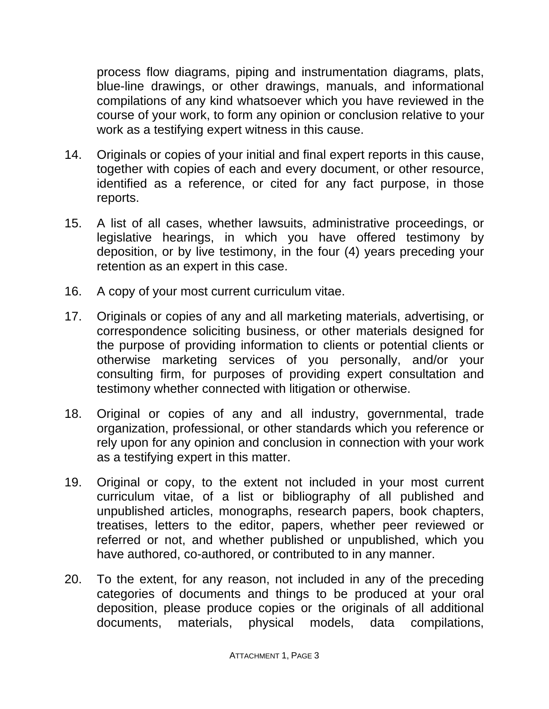process flow diagrams, piping and instrumentation diagrams, plats, blue-line drawings, or other drawings, manuals, and informational compilations of any kind whatsoever which you have reviewed in the course of your work, to form any opinion or conclusion relative to your work as a testifying expert witness in this cause.

- 14. Originals or copies of your initial and final expert reports in this cause, together with copies of each and every document, or other resource, identified as a reference, or cited for any fact purpose, in those reports.
- 15. A list of all cases, whether lawsuits, administrative proceedings, or legislative hearings, in which you have offered testimony by deposition, or by live testimony, in the four (4) years preceding your retention as an expert in this case.
- 16. A copy of your most current curriculum vitae.
- 17. Originals or copies of any and all marketing materials, advertising, or correspondence soliciting business, or other materials designed for the purpose of providing information to clients or potential clients or otherwise marketing services of you personally, and/or your consulting firm, for purposes of providing expert consultation and testimony whether connected with litigation or otherwise.
- 18. Original or copies of any and all industry, governmental, trade organization, professional, or other standards which you reference or rely upon for any opinion and conclusion in connection with your work as a testifying expert in this matter.
- 19. Original or copy, to the extent not included in your most current curriculum vitae, of a list or bibliography of all published and unpublished articles, monographs, research papers, book chapters, treatises, letters to the editor, papers, whether peer reviewed or referred or not, and whether published or unpublished, which you have authored, co-authored, or contributed to in any manner.
- 20. To the extent, for any reason, not included in any of the preceding categories of documents and things to be produced at your oral deposition, please produce copies or the originals of all additional documents, materials, physical models, data compilations,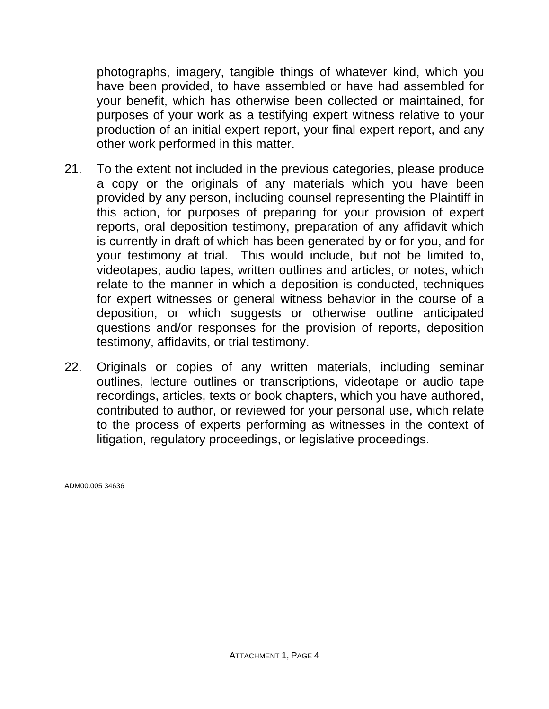photographs, imagery, tangible things of whatever kind, which you have been provided, to have assembled or have had assembled for your benefit, which has otherwise been collected or maintained, for purposes of your work as a testifying expert witness relative to your production of an initial expert report, your final expert report, and any other work performed in this matter.

- 21. To the extent not included in the previous categories, please produce a copy or the originals of any materials which you have been provided by any person, including counsel representing the Plaintiff in this action, for purposes of preparing for your provision of expert reports, oral deposition testimony, preparation of any affidavit which is currently in draft of which has been generated by or for you, and for your testimony at trial. This would include, but not be limited to, videotapes, audio tapes, written outlines and articles, or notes, which relate to the manner in which a deposition is conducted, techniques for expert witnesses or general witness behavior in the course of a deposition, or which suggests or otherwise outline anticipated questions and/or responses for the provision of reports, deposition testimony, affidavits, or trial testimony.
- 22. Originals or copies of any written materials, including seminar outlines, lecture outlines or transcriptions, videotape or audio tape recordings, articles, texts or book chapters, which you have authored, contributed to author, or reviewed for your personal use, which relate to the process of experts performing as witnesses in the context of litigation, regulatory proceedings, or legislative proceedings.

ADM00.005 34636